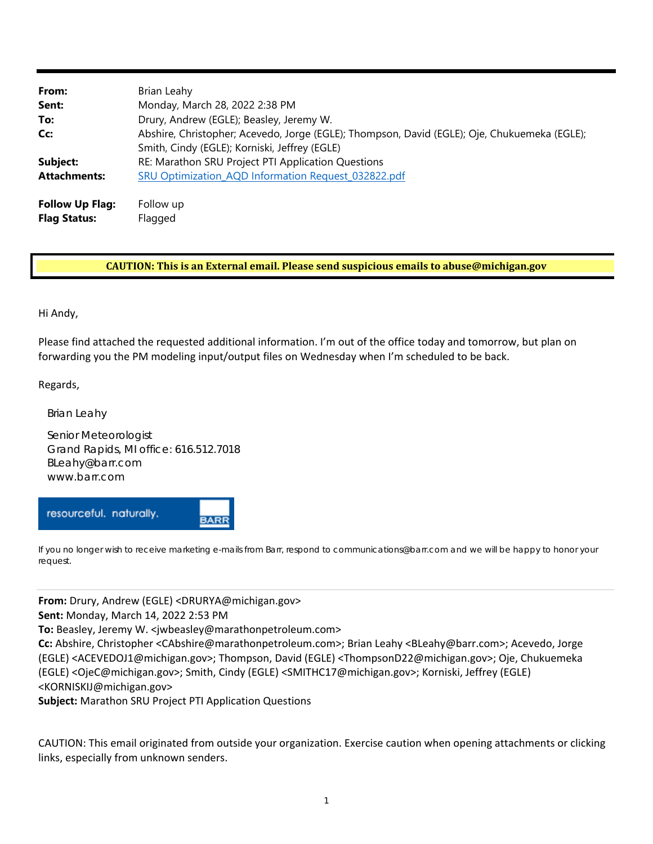| From:<br>Sent:                                | Brian Leahy<br>Monday, March 28, 2022 2:38 PM                                                                                                 |
|-----------------------------------------------|-----------------------------------------------------------------------------------------------------------------------------------------------|
| To:                                           | Drury, Andrew (EGLE); Beasley, Jeremy W.                                                                                                      |
| Cc:                                           | Abshire, Christopher; Acevedo, Jorge (EGLE); Thompson, David (EGLE); Oje, Chukuemeka (EGLE);<br>Smith, Cindy (EGLE); Korniski, Jeffrey (EGLE) |
| Subject:                                      | RE: Marathon SRU Project PTI Application Questions                                                                                            |
| <b>Attachments:</b>                           | SRU Optimization_AQD Information Request_032822.pdf                                                                                           |
| <b>Follow Up Flag:</b><br><b>Flag Status:</b> | Follow up<br>Flagged                                                                                                                          |

## **CAUTION: This is an External email. Please send suspicious emails to [abuse@michigan.gov](mailto:abuse@michigan.gov)**

Hi Andy,

 Please find attached the requested additional information. I'm out of the office today and tomorrow, but plan on forwarding you the PM modeling input/output files on Wednesday when I'm scheduled to be back.

Regards,

Brian Leahy

Senior Meteorologist Grand Rapids, MI office: 616.512.7018 [BLeahy@barr.com](mailto:BLeahy@barr.com)  [www.barr.com](http://www.barr.com) 

resourceful. naturally.

If you no longer wish to receive marketing e-mails from Barr, respond to [communications@barr.com an](mailto:communications@barr.com)d we will be happy to honor your request.

**From:** Drury, Andrew (EGLE) [<DRURYA@michigan.gov>](mailto:DRURYA@michigan.gov)

**Sent:** Monday, March 14, 2022 2:53 PM

**To:** Beasley, Jeremy W. [<jwbeasley@marathonpetroleum.com>](mailto:jwbeasley@marathonpetroleum.com)

**BARF** 

 **Cc:** Abshire, Christopher <[CAbshire@marathonpetroleum.com>;](mailto:CAbshire@marathonpetroleum.com) Brian Leahy <[BLeahy@barr.com>;](mailto:BLeahy@barr.com) Acevedo, Jorge (EGLE) <[ACEVEDOJ1@michigan.gov>;](mailto:ACEVEDOJ1@michigan.gov) Thompson, David (EGLE) <[ThompsonD22@michigan.gov>;](mailto:ThompsonD22@michigan.gov) Oje, Chukuemeka (EGLE) <[OjeC@michigan.gov>;](mailto:OjeC@michigan.gov) Smith, Cindy (EGLE) <[SMITHC17@michigan.gov>;](mailto:SMITHC17@michigan.gov) Korniski, Jeffrey (EGLE) [<KORNISKIJ@michigan.gov>](mailto:KORNISKIJ@michigan.gov)

**Subject:** Marathon SRU Project PTI Application Questions

 CAUTION: This email originated from outside your organization. Exercise caution when opening attachments or clicking links, especially from unknown senders.